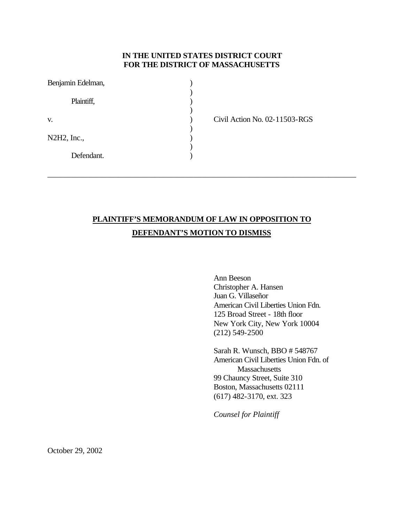## **IN THE UNITED STATES DISTRICT COURT FOR THE DISTRICT OF MASSACHUSETTS**

| Benjamin Edelman, |  |
|-------------------|--|
| Plaintiff,        |  |
| V.                |  |
| N2H2, Inc.,       |  |
| Defendant.        |  |

Civil Action No. 02-11503-RGS

# **PLAINTIFF'S MEMORANDUM OF LAW IN OPPOSITION TO DEFENDANT'S MOTION TO DISMISS**

\_\_\_\_\_\_\_\_\_\_\_\_\_\_\_\_\_\_\_\_\_\_\_\_\_\_\_\_\_\_\_\_\_\_\_\_\_\_\_\_\_\_\_\_\_\_\_\_\_\_\_\_\_\_\_\_\_\_\_\_\_\_\_\_\_\_\_\_\_\_\_\_\_\_\_\_\_\_

Ann Beeson Christopher A. Hansen Juan G. Villaseñor American Civil Liberties Union Fdn. 125 Broad Street - 18th floor New York City, New York 10004 (212) 549-2500

Sarah R. Wunsch, BBO # 548767 American Civil Liberties Union Fdn. of Massachusetts 99 Chauncy Street, Suite 310 Boston, Massachusetts 02111 (617) 482-3170, ext. 323

*Counsel for Plaintiff*

October 29, 2002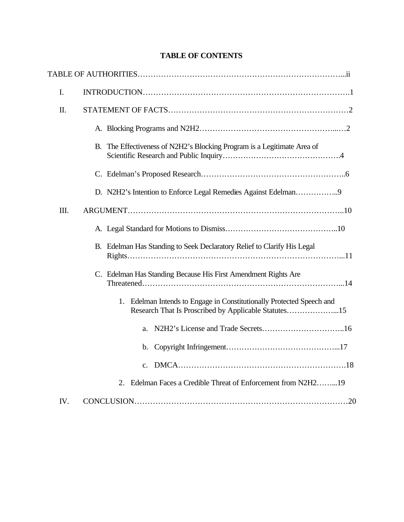| I.   |                                                                                                                                  |
|------|----------------------------------------------------------------------------------------------------------------------------------|
| II.  |                                                                                                                                  |
|      |                                                                                                                                  |
|      | B. The Effectiveness of N2H2's Blocking Program is a Legitimate Area of                                                          |
|      |                                                                                                                                  |
|      |                                                                                                                                  |
| III. |                                                                                                                                  |
|      |                                                                                                                                  |
|      | B. Edelman Has Standing to Seek Declaratory Relief to Clarify His Legal                                                          |
|      | C. Edelman Has Standing Because His First Amendment Rights Are                                                                   |
|      | Edelman Intends to Engage in Constitutionally Protected Speech and<br>1.<br>Research That Is Proscribed by Applicable Statutes15 |
|      | a.                                                                                                                               |
|      | $\mathbf{b}$ .                                                                                                                   |
|      | $\mathbf{c}$ .                                                                                                                   |
|      | 2. Edelman Faces a Credible Threat of Enforcement from N2H219                                                                    |
| IV.  |                                                                                                                                  |

# **TABLE OF CONTENTS**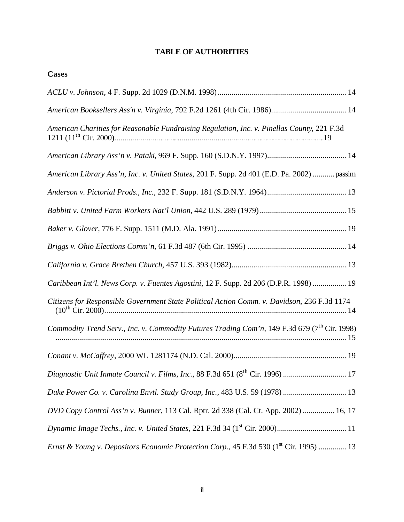# **TABLE OF AUTHORITIES**

| Cases                                                                                                    |
|----------------------------------------------------------------------------------------------------------|
|                                                                                                          |
|                                                                                                          |
| American Charities for Reasonable Fundraising Regulation, Inc. v. Pinellas County, 221 F.3d              |
|                                                                                                          |
| American Library Ass'n, Inc. v. United States, 201 F. Supp. 2d 401 (E.D. Pa. 2002)  passim               |
|                                                                                                          |
|                                                                                                          |
|                                                                                                          |
|                                                                                                          |
|                                                                                                          |
| Caribbean Int'l. News Corp. v. Fuentes Agostini, 12 F. Supp. 2d 206 (D.P.R. 1998)  19                    |
| Citizens for Responsible Government State Political Action Comm. v. Davidson, 236 F.3d 1174              |
| Commodity Trend Serv., Inc. v. Commodity Futures Trading Com'n, 149 F.3d 679 (7 <sup>th</sup> Cir. 1998) |
|                                                                                                          |
|                                                                                                          |
| Duke Power Co. v. Carolina Envtl. Study Group, Inc., 483 U.S. 59 (1978)  13                              |
| DVD Copy Control Ass'n v. Bunner, 113 Cal. Rptr. 2d 338 (Cal. Ct. App. 2002)  16, 17                     |
|                                                                                                          |
| Ernst & Young v. Depositors Economic Protection Corp., 45 F.3d 530 (1 <sup>st</sup> Cir. 1995)  13       |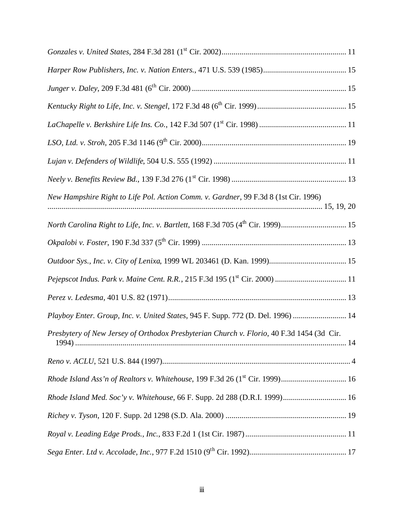| New Hampshire Right to Life Pol. Action Comm. v. Gardner, 99 F.3d 8 (1st Cir. 1996)       |
|-------------------------------------------------------------------------------------------|
|                                                                                           |
|                                                                                           |
|                                                                                           |
|                                                                                           |
|                                                                                           |
| Playboy Enter. Group, Inc. v. United States, 945 F. Supp. 772 (D. Del. 1996)  14          |
| Presbytery of New Jersey of Orthodox Presbyterian Church v. Florio, 40 F.3d 1454 (3d Cir. |
|                                                                                           |
|                                                                                           |
| Rhode Island Med. Soc'y v. Whitehouse, 66 F. Supp. 2d 288 (D.R.I. 1999) 16                |
|                                                                                           |
|                                                                                           |
|                                                                                           |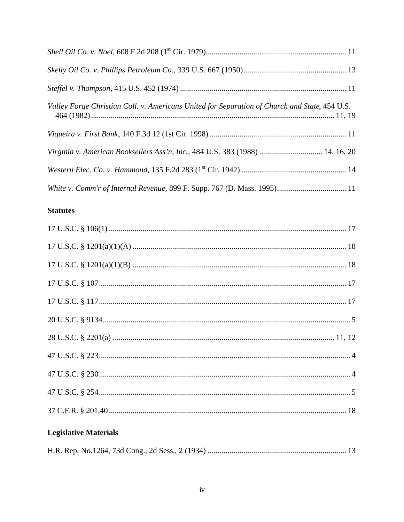| Valley Forge Christian Coll. v. Americans United for Separation of Church and State, 454 U.S. |
|-----------------------------------------------------------------------------------------------|
|                                                                                               |
| Virginia v. American Booksellers Ass'n, Inc., 484 U.S. 383 (1988)  14, 16, 20                 |
|                                                                                               |
|                                                                                               |

# **Statutes**

# **Legislative Materials**

|--|--|--|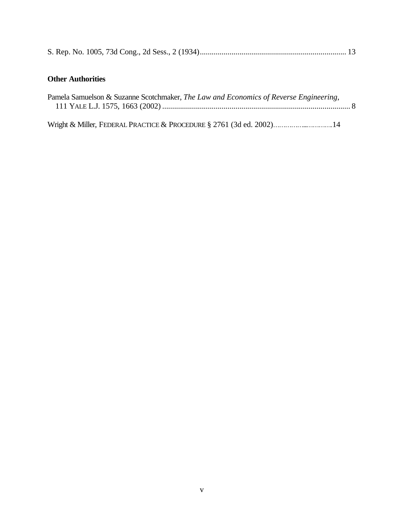|--|--|--|--|--|--|--|--|

# **Other Authorities**

| Pamela Samuelson & Suzanne Scotchmaker, The Law and Economics of Reverse Engineering, |  |
|---------------------------------------------------------------------------------------|--|
|                                                                                       |  |

Wright & Miller, FEDERAL PRACTICE & PROCEDURE § 2761 (3d ed. 2002)……………...………….14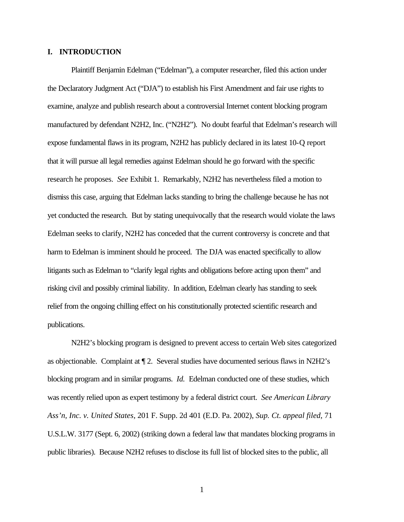### **I. INTRODUCTION**

Plaintiff Benjamin Edelman ("Edelman"), a computer researcher, filed this action under the Declaratory Judgment Act ("DJA") to establish his First Amendment and fair use rights to examine, analyze and publish research about a controversial Internet content blocking program manufactured by defendant N2H2, Inc. ("N2H2"). No doubt fearful that Edelman's research will expose fundamental flaws in its program, N2H2 has publicly declared in its latest 10-Q report that it will pursue all legal remedies against Edelman should he go forward with the specific research he proposes. *See* Exhibit 1. Remarkably, N2H2 has nevertheless filed a motion to dismiss this case, arguing that Edelman lacks standing to bring the challenge because he has not yet conducted the research. But by stating unequivocally that the research would violate the laws Edelman seeks to clarify, N2H2 has conceded that the current controversy is concrete and that harm to Edelman is imminent should he proceed. The DJA was enacted specifically to allow litigants such as Edelman to "clarify legal rights and obligations before acting upon them" and risking civil and possibly criminal liability. In addition, Edelman clearly has standing to seek relief from the ongoing chilling effect on his constitutionally protected scientific research and publications.

N2H2's blocking program is designed to prevent access to certain Web sites categorized as objectionable. Complaint at ¶ 2. Several studies have documented serious flaws in N2H2's blocking program and in similar programs. *Id.* Edelman conducted one of these studies, which was recently relied upon as expert testimony by a federal district court. *See American Library Ass'n, Inc. v. United States*, 201 F. Supp. 2d 401 (E.D. Pa. 2002), *Sup. Ct. appeal filed*, 71 U.S.L.W. 3177 (Sept. 6, 2002) (striking down a federal law that mandates blocking programs in public libraries). Because N2H2 refuses to disclose its full list of blocked sites to the public, all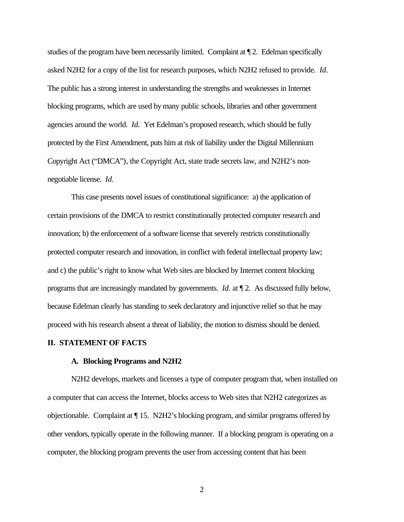studies of the program have been necessarily limited. Complaint at ¶ 2. Edelman specifically asked N2H2 for a copy of the list for research purposes, which N2H2 refused to provide. *Id.* The public has a strong interest in understanding the strengths and weaknesses in Internet blocking programs, which are used by many public schools, libraries and other government agencies around the world. *Id.* Yet Edelman's proposed research, which should be fully protected by the First Amendment, puts him at risk of liability under the Digital Millennium Copyright Act ("DMCA"), the Copyright Act, state trade secrets law, and N2H2's nonnegotiable license. *Id.*

This case presents novel issues of constitutional significance: a) the application of certain provisions of the DMCA to restrict constitutionally protected computer research and innovation; b) the enforcement of a software license that severely restricts constitutionally protected computer research and innovation, in conflict with federal intellectual property law; and c) the public's right to know what Web sites are blocked by Internet content blocking programs that are increasingly mandated by governments. *Id.* at ¶ 2. As discussed fully below, because Edelman clearly has standing to seek declaratory and injunctive relief so that he may proceed with his research absent a threat of liability, the motion to dismiss should be denied.

#### **II. STATEMENT OF FACTS**

#### **A. Blocking Programs and N2H2**

N2H2 develops, markets and licenses a type of computer program that, when installed on a computer that can access the Internet, blocks access to Web sites that N2H2 categorizes as objectionable.Complaint at ¶ 15.N2H2's blocking program, and similar programs offered by other vendors, typically operate in the following manner. If a blocking program is operating on a computer, the blocking program prevents the user from accessing content that has been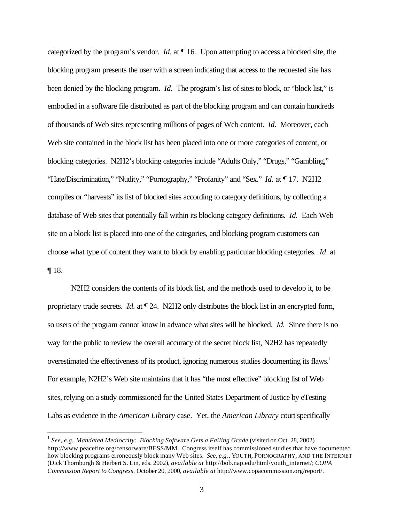categorized by the program's vendor. *Id*. at ¶ 16*.*Upon attempting to access a blocked site, the blocking program presents the user with a screen indicating that access to the requested site has been denied by the blocking program. *Id.* The program's list of sites to block, or "block list," is embodied in a software file distributed as part of the blocking program and can contain hundreds of thousands of Web sites representing millions of pages of Web content. *Id.* Moreover, each Web site contained in the block list has been placed into one or more categories of content, or blocking categories. N2H2's blocking categories include "Adults Only," "Drugs," "Gambling," "Hate/Discrimination," "Nudity," "Pornography," "Profanity" and "Sex." *Id.* at ¶ 17.N2H2 compiles or "harvests" its list of blocked sites according to category definitions, by collecting a database of Web sites that potentially fall within its blocking category definitions. *Id.* Each Web site on a block list is placed into one of the categories, and blocking program customers can choose what type of content they want to block by enabling particular blocking categories. *Id*. at ¶ 18.

N2H2 considers the contents of its block list, and the methods used to develop it, to be proprietary trade secrets. *Id.* at ¶ 24. N2H2 only distributes the block list in an encrypted form, so users of the program cannot know in advance what sites will be blocked. *Id.* Since there is no way for the public to review the overall accuracy of the secret block list, N2H2 has repeatedly overestimated the effectiveness of its product, ignoring numerous studies documenting its flaws.<sup>1</sup> For example, N2H2's Web site maintains that it has "the most effective" blocking list of Web sites, relying on a study commissioned for the United States Department of Justice by eTesting Labs as evidence in the *American Library* case. Yet, the *American Library* court specifically

<sup>1</sup> *See, e.g.*, *Mandated Mediocrity: Blocking Software Gets a Failing Grade* (visited on Oct. 28, 2002) http://www.peacefire.org/censorware/BESS/MM. Congress itself has commissioned studies that have documented how blocking programs erroneously block many Web sites. *See, e.g*., YOUTH, PORNOGRAPHY, AND THE INTERNET (Dick Thornburgh & Herbert S. Lin, eds. 2002), *available at* http://bob.nap.edu/html/youth\_internet/; *COPA Commission Report to Congress,* October 20, 2000, *available at* http://www.copacommission.org/report/.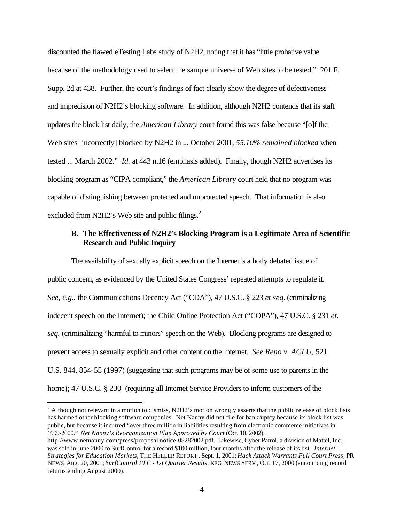discounted the flawed eTesting Labs study of N2H2, noting that it has "little probative value because of the methodology used to select the sample universe of Web sites to be tested." 201 F. Supp. 2d at 438. Further, the court's findings of fact clearly show the degree of defectiveness and imprecision of N2H2's blocking software. In addition, although N2H2 contends that its staff updates the block list daily, the *American Library* court found this was false because "[o]f the Web sites [incorrectly] blocked by N2H2 in ... October 2001, *55.10% remained blocked* when tested ... March 2002." *Id.* at 443 n.16 (emphasis added). Finally, though N2H2 advertises its blocking program as "CIPA compliant," the *American Library* court held that no program was capable of distinguishing between protected and unprotected speech. That information is also excluded from N2H2's Web site and public filings.<sup>2</sup>

### **B. The Effectiveness of N2H2's Blocking Program is a Legitimate Area of Scientific Research and Public Inquiry**

The availability of sexually explicit speech on the Internet is a hotly debated issue of public concern, as evidenced by the United States Congress' repeated attempts to regulate it. *See, e.g.,* the Communications Decency Act ("CDA"), 47 U.S.C. § 223 *et seq*. (criminalizing indecent speech on the Internet); the Child Online Protection Act ("COPA"), 47 U.S.C. § 231 *et. seq.* (criminalizing "harmful to minors" speech on the Web). Blocking programs are designed to prevent access to sexually explicit and other content on the Internet. *See Reno v. ACLU*, 521 U.S. 844, 854-55 (1997) (suggesting that such programs may be of some use to parents in the home); 47 U.S.C. § 230 (requiring all Internet Service Providers to inform customers of the

 $2$  Although not relevant in a motion to dismiss, N2H2's motion wrongly asserts that the public release of block lists has harmed other blocking software companies. Net Nanny did not file for bankruptcy because its block list was public, but because it incurred "over three million in liabilities resulting from electronic commerce initiatives in 1999-2000." *Net Nanny's Reorganization Plan Approved by Court* (Oct. 10, 2002)

http://www.netnanny.com/press/proposal-notice-08282002.pdf. Likewise, Cyber Patrol, a division of Mattel, Inc., was sold in June 2000 to SurfControl for a record \$100 million, four months after the release of its list. *Internet Strategies for Education Markets*, THE HELLER REPORT , Sept. 1, 2001; *Hack Attack Warrants Full Court Press*, PR NEWS, Aug. 20, 2001; *SurfControl PLC - 1st Quarter Results*, REG. NEWS SERV., Oct. 17, 2000 (announcing record returns ending August 2000).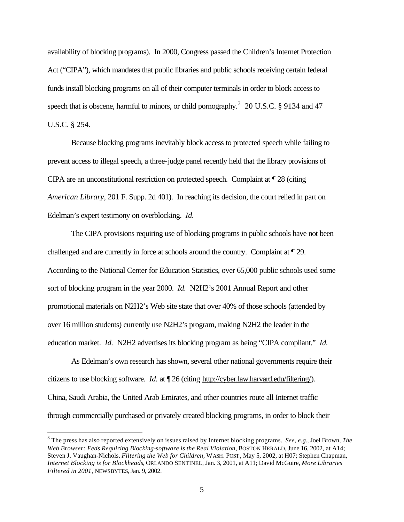availability of blocking programs). In 2000, Congress passed the Children's Internet Protection Act ("CIPA"), which mandates that public libraries and public schools receiving certain federal funds install blocking programs on all of their computer terminals in order to block access to speech that is obscene, harmful to minors, or child pornography.<sup>3</sup> 20 U.S.C. § 9134 and 47 U.S.C. § 254.

Because blocking programs inevitably block access to protected speech while failing to prevent access to illegal speech, a three-judge panel recently held that the library provisions of CIPA are an unconstitutional restriction on protected speech. Complaint at ¶ 28 (citing *American Library,* 201 F. Supp. 2d 401). In reaching its decision, the court relied in part on Edelman's expert testimony on overblocking. *Id.*

The CIPA provisions requiring use of blocking programs in public schools have not been challenged and are currently in force at schools around the country. Complaint at ¶ 29. According to the National Center for Education Statistics, over 65,000 public schools used some sort of blocking program in the year 2000. *Id.* N2H2's 2001 Annual Report and other promotional materials on N2H2's Web site state that over 40% of those schools (attended by over 16 million students) currently use N2H2's program, making N2H2 the leader in the education market. *Id.* N2H2 advertises its blocking program as being "CIPA compliant." *Id.*

As Edelman's own research has shown, several other national governments require their citizens to use blocking software. *Id.* at ¶ 26 (citing http://cyber.law.harvard.edu/filtering/). China, Saudi Arabia, the United Arab Emirates, and other countries route all Internet traffic through commercially purchased or privately created blocking programs, in order to block their

<sup>3</sup> The press has also reported extensively on issues raised by Internet blocking programs. *See, e.g.*, Joel Brown, *The Web Browser: Feds Requiring Blocking-software is the Real Violation*, BOSTON HERALD, June 16, 2002, at A14; Steven J. Vaughan-Nichols, *Filtering the Web for Children*, WASH. POST, May 5, 2002, at H07; Stephen Chapman, *Internet Blocking is for Blockheads*, ORLANDO SENTINEL, Jan. 3, 2001, at A11; David McGuire, *More Libraries Filtered in 2001*, NEWSBYTES, Jan. 9, 2002.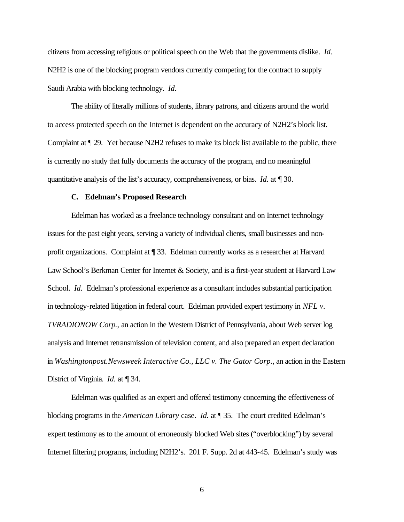citizens from accessing religious or political speech on the Web that the governments dislike. *Id.* N2H2 is one of the blocking program vendors currently competing for the contract to supply Saudi Arabia with blocking technology. *Id.*

The ability of literally millions of students, library patrons, and citizens around the world to access protected speech on the Internet is dependent on the accuracy of N2H2's block list. Complaint at ¶ 29. Yet because N2H2 refuses to make its block list available to the public, there is currently no study that fully documents the accuracy of the program, and no meaningful quantitative analysis of the list's accuracy, comprehensiveness, or bias. *Id.* at ¶ 30.

#### **C. Edelman's Proposed Research**

Edelman has worked as a freelance technology consultant and on Internet technology issues for the past eight years, serving a variety of individual clients, small businesses and nonprofit organizations. Complaint at ¶ 33. Edelman currently works as a researcher at Harvard Law School's Berkman Center for Internet & Society, and is a first-year student at Harvard Law School. *Id.* Edelman's professional experience as a consultant includes substantial participation in technology-related litigation in federal court. Edelman provided expert testimony in *NFL v. TVRADIONOW Corp.*, an action in the Western District of Pennsylvania, about Web server log analysis and Internet retransmission of television content, and also prepared an expert declaration in *Washingtonpost.Newsweek Interactive Co., LLC v. The Gator Corp.*, an action in the Eastern District of Virginia. *Id.* at ¶ 34.

Edelman was qualified as an expert and offered testimony concerning the effectiveness of blocking programs in the *American Library* case. *Id.* at ¶ 35. The court credited Edelman's expert testimony as to the amount of erroneously blocked Web sites ("overblocking") by several Internet filtering programs, including N2H2's. 201 F. Supp. 2d at 443-45. Edelman's study was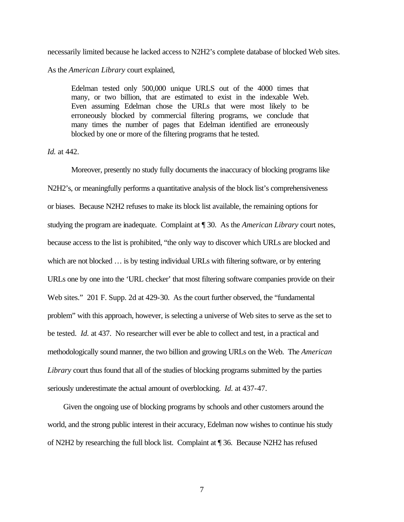necessarily limited because he lacked access to N2H2's complete database of blocked Web sites.

As the *American Library* court explained,

Edelman tested only 500,000 unique URLS out of the 4000 times that many, or two billion, that are estimated to exist in the indexable Web. Even assuming Edelman chose the URLs that were most likely to be erroneously blocked by commercial filtering programs, we conclude that many times the number of pages that Edelman identified are erroneously blocked by one or more of the filtering programs that he tested.

*Id.* at 442.

Moreover, presently no study fully documents the inaccuracy of blocking programs like N2H2's, or meaningfully performs a quantitative analysis of the block list's comprehensiveness or biases. Because N2H2 refuses to make its block list available, the remaining options for studying the program are inadequate. Complaint at ¶ 30. As the *American Library* court notes, because access to the list is prohibited, "the only way to discover which URLs are blocked and which are not blocked ... is by testing individual URLs with filtering software, or by entering URLs one by one into the 'URL checker' that most filtering software companies provide on their Web sites." 201 F. Supp. 2d at 429-30. As the court further observed, the "fundamental problem" with this approach, however, is selecting a universe of Web sites to serve as the set to be tested. *Id.* at 437. No researcher will ever be able to collect and test, in a practical and methodologically sound manner, the two billion and growing URLs on the Web. The *American Library* court thus found that all of the studies of blocking programs submitted by the parties seriously underestimate the actual amount of overblocking. *Id.* at 437-47.

 Given the ongoing use of blocking programs by schools and other customers around the world, and the strong public interest in their accuracy, Edelman now wishes to continue his study of N2H2 by researching the full block list. Complaint at ¶ 36. Because N2H2 has refused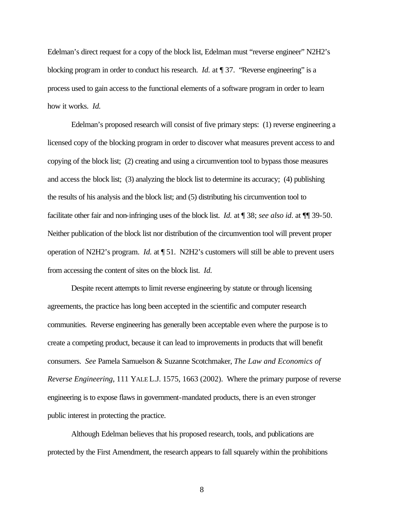Edelman's direct request for a copy of the block list, Edelman must "reverse engineer" N2H2's blocking program in order to conduct his research. *Id.* at ¶ 37. "Reverse engineering" is a process used to gain access to the functional elements of a software program in order to learn how it works. *Id.*

Edelman's proposed research will consist of five primary steps: (1) reverse engineering a licensed copy of the blocking program in order to discover what measures prevent access to and copying of the block list; (2) creating and using a circumvention tool to bypass those measures and access the block list; (3) analyzing the block list to determine its accuracy; (4) publishing the results of his analysis and the block list; and (5) distributing his circumvention tool to facilitate other fair and non-infringing uses of the block list. *Id.* at ¶ 38; *see also id*. at ¶¶ 39-50. Neither publication of the block list nor distribution of the circumvention tool will prevent proper operation of N2H2's program. *Id.* at ¶ 51. N2H2's customers will still be able to prevent users from accessing the content of sites on the block list. *Id.*

Despite recent attempts to limit reverse engineering by statute or through licensing agreements, the practice has long been accepted in the scientific and computer research communities. Reverse engineering has generally been acceptable even where the purpose is to create a competing product, because it can lead to improvements in products that will benefit consumers. *See* Pamela Samuelson & Suzanne Scotchmaker, *The Law and Economics of Reverse Engineering*, 111 YALE L.J. 1575, 1663 (2002). Where the primary purpose of reverse engineering is to expose flaws in government-mandated products, there is an even stronger public interest in protecting the practice.

Although Edelman believes that his proposed research, tools, and publications are protected by the First Amendment, the research appears to fall squarely within the prohibitions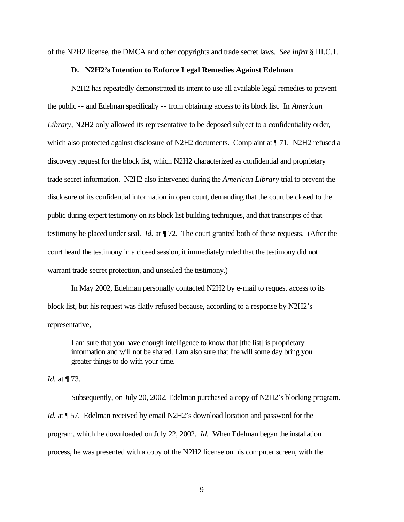of the N2H2 license, the DMCA and other copyrights and trade secret laws. *See infra* § III.C.1.

### **D. N2H2's Intention to Enforce Legal Remedies Against Edelman**

N2H2 has repeatedly demonstrated its intent to use all available legal remedies to prevent the public -- and Edelman specifically -- from obtaining access to its block list. In *American Library*, N2H2 only allowed its representative to be deposed subject to a confidentiality order, which also protected against disclosure of N2H2 documents. Complaint at  $\P$  71. N2H2 refused a discovery request for the block list, which N2H2 characterized as confidential and proprietary trade secret information. N2H2 also intervened during the *American Library* trial to prevent the disclosure of its confidential information in open court, demanding that the court be closed to the public during expert testimony on its block list building techniques, and that transcripts of that testimony be placed under seal. *Id.* at ¶ 72. The court granted both of these requests. (After the court heard the testimony in a closed session, it immediately ruled that the testimony did not warrant trade secret protection, and unsealed the testimony.)

In May 2002, Edelman personally contacted N2H2 by e-mail to request access to its block list, but his request was flatly refused because, according to a response by N2H2's representative,

I am sure that you have enough intelligence to know that [the list] is proprietary information and will not be shared. I am also sure that life will some day bring you greater things to do with your time.

*Id.* at ¶ 73.

Subsequently, on July 20, 2002, Edelman purchased a copy of N2H2's blocking program. *Id.* at  $\sqrt{57}$ . Edelman received by email N2H2's download location and password for the program, which he downloaded on July 22, 2002. *Id.* When Edelman began the installation process, he was presented with a copy of the N2H2 license on his computer screen, with the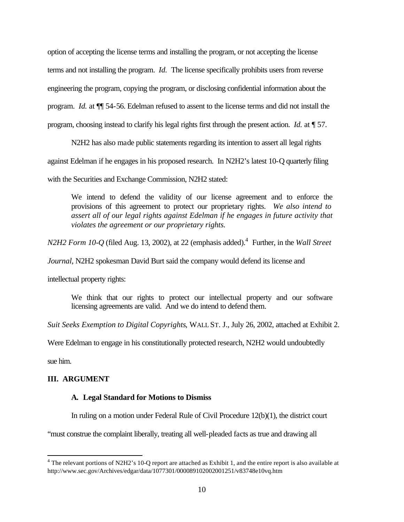option of accepting the license terms and installing the program, or not accepting the license terms and not installing the program. *Id.* The license specifically prohibits users from reverse engineering the program, copying the program, or disclosing confidential information about the program. *Id.* at ¶¶ 54-56. Edelman refused to assent to the license terms and did not install the program, choosing instead to clarify his legal rights first through the present action. *Id.* at ¶ 57.

N2H2 has also made public statements regarding its intention to assert all legal rights

against Edelman if he engages in his proposed research. In N2H2's latest 10-Q quarterly filing

with the Securities and Exchange Commission, N2H2 stated:

We intend to defend the validity of our license agreement and to enforce the provisions of this agreement to protect our proprietary rights. *We also intend to assert all of our legal rights against Edelman if he engages in future activity that violates the agreement or our proprietary rights.*

*N2H2 Form 10-Q* (filed Aug. 13, 2002), at 22 (emphasis added).<sup>4</sup> Further, in the *Wall Street* 

*Journal*, N2H2 spokesman David Burt said the company would defend its license and

intellectual property rights:

We think that our rights to protect our intellectual property and our software licensing agreements are valid. And we do intend to defend them.

*Suit Seeks Exemption to Digital Copyrights*, WALL ST. J., July 26, 2002, attached at Exhibit 2.

Were Edelman to engage in his constitutionally protected research, N2H2 would undoubtedly

sue him.

 $\overline{a}$ 

## **III. ARGUMENT**

## **A. Legal Standard for Motions to Dismiss**

In ruling on a motion under Federal Rule of Civil Procedure 12(b)(1), the district court

"must construe the complaint liberally, treating all well-pleaded facts as true and drawing all

<sup>&</sup>lt;sup>4</sup> The relevant portions of N2H2's 10-Q report are attached as Exhibit 1, and the entire report is also available at http://www.sec.gov/Archives/edgar/data/1077301/000089102002001251/v83748e10vq.htm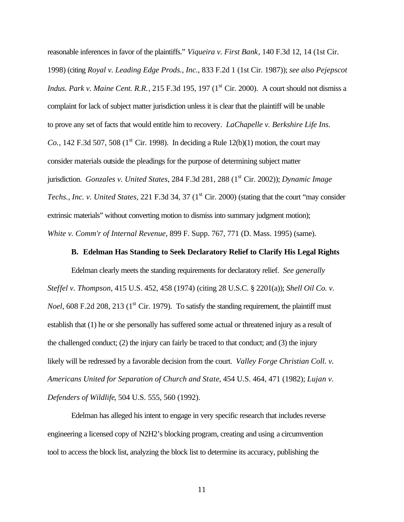reasonable inferences in favor of the plaintiffs." *Viqueira v. First Bank*, 140 F.3d 12, 14 (1st Cir. 1998) (citing *Royal v. Leading Edge Prods., Inc.*, 833 F.2d 1 (1st Cir. 1987)); *see also Pejepscot Indus. Park v. Maine Cent. R.R.*, 215 F.3d 195, 197 (1<sup>st</sup> Cir. 2000). A court should not dismiss a complaint for lack of subject matter jurisdiction unless it is clear that the plaintiff will be unable to prove any set of facts that would entitle him to recovery. *LaChapelle v. Berkshire Life Ins. Co.*, 142 F.3d 507, 508 (1<sup>st</sup> Cir. 1998). In deciding a Rule 12(b)(1) motion, the court may consider materials outside the pleadings for the purpose of determining subject matter jurisdiction. *Gonzales v. United States*, 284 F.3d 281, 288 (1<sup>st</sup> Cir. 2002)); *Dynamic Image Techs., Inc. v. United States, 221 F.3d 34, 37 (1<sup>st</sup> Cir. 2000) (stating that the court "may consider*" extrinsic materials" without converting motion to dismiss into summary judgment motion); *White v. Comm'r of Internal Revenue*, 899 F. Supp. 767, 771 (D. Mass. 1995) (same).

### **B. Edelman Has Standing to Seek Declaratory Relief to Clarify His Legal Rights**

Edelman clearly meets the standing requirements for declaratory relief. *See generally Steffel v. Thompson*, 415 U.S. 452, 458 (1974) (citing 28 U.S.C. § 2201(a)); *Shell Oil Co. v. Noel*, 608 F.2d 208, 213 (1<sup>st</sup> Cir. 1979). To satisfy the standing requirement, the plaintiff must establish that (1) he or she personally has suffered some actual or threatened injury as a result of the challenged conduct; (2) the injury can fairly be traced to that conduct; and (3) the injury likely will be redressed by a favorable decision from the court. *Valley Forge Christian Coll. v. Americans United for Separation of Church and State*, 454 U.S. 464, 471 (1982); *Lujan v. Defenders of Wildlife*, 504 U.S. 555, 560 (1992).

Edelman has alleged his intent to engage in very specific research that includes reverse engineering a licensed copy of N2H2's blocking program, creating and using a circumvention tool to access the block list, analyzing the block list to determine its accuracy, publishing the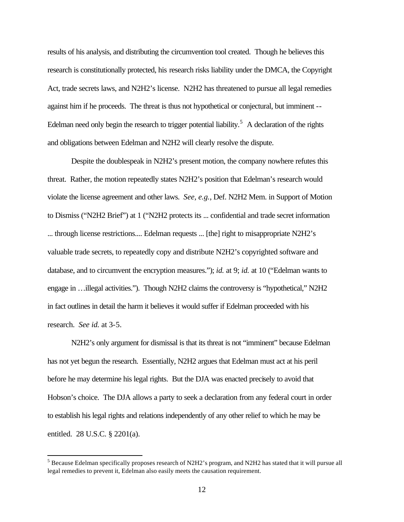results of his analysis, and distributing the circumvention tool created. Though he believes this research is constitutionally protected, his research risks liability under the DMCA, the Copyright Act, trade secrets laws, and N2H2's license. N2H2 has threatened to pursue all legal remedies against him if he proceeds. The threat is thus not hypothetical or conjectural, but imminent -- Edelman need only begin the research to trigger potential liability.<sup>5</sup> A declaration of the rights and obligations between Edelman and N2H2 will clearly resolve the dispute.

Despite the doublespeak in N2H2's present motion, the company nowhere refutes this threat. Rather, the motion repeatedly states N2H2's position that Edelman's research would violate the license agreement and other laws. *See, e.g.*, Def. N2H2 Mem. in Support of Motion to Dismiss ("N2H2 Brief") at 1 ("N2H2 protects its ... confidential and trade secret information ... through license restrictions.... Edelman requests ... [the] right to misappropriate N2H2's valuable trade secrets, to repeatedly copy and distribute N2H2's copyrighted software and database, and to circumvent the encryption measures."); *id.* at 9; *id.* at 10 ("Edelman wants to engage in …illegal activities."). Though N2H2 claims the controversy is "hypothetical," N2H2 in fact outlines in detail the harm it believes it would suffer if Edelman proceeded with his research. *See id.* at 3-5.

N2H2's only argument for dismissal is that its threat is not "imminent" because Edelman has not yet begun the research. Essentially, N2H2 argues that Edelman must act at his peril before he may determine his legal rights. But the DJA was enacted precisely to avoid that Hobson's choice. The DJA allows a party to seek a declaration from any federal court in order to establish his legal rights and relations independently of any other relief to which he may be entitled. 28 U.S.C. § 2201(a).

 $<sup>5</sup>$  Because Edelman specifically proposes research of N2H2's program, and N2H2 has stated that it will pursue all</sup> legal remedies to prevent it, Edelman also easily meets the causation requirement.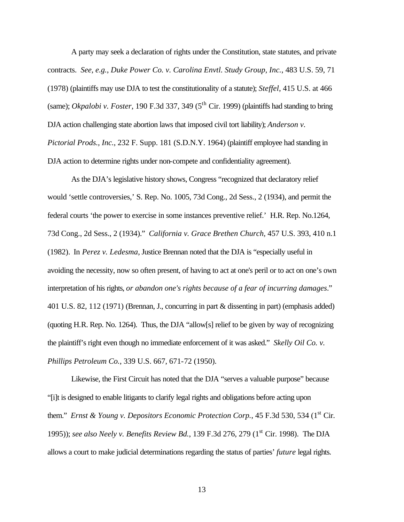A party may seek a declaration of rights under the Constitution, state statutes, and private contracts. *See, e.g.*, *Duke Power Co. v. Carolina Envtl. Study Group, Inc.*, 483 U.S. 59, 71 (1978) (plaintiffs may use DJA to test the constitutionality of a statute); *Steffel*, 415 U.S. at 466 (same); *Okpalobi v. Foster*, 190 F.3d 337, 349 (5<sup>th</sup> Cir. 1999) (plaintiffs had standing to bring DJA action challenging state abortion laws that imposed civil tort liability); *Anderson v. Pictorial Prods., Inc.*, 232 F. Supp. 181 (S.D.N.Y. 1964) (plaintiff employee had standing in DJA action to determine rights under non-compete and confidentiality agreement).

As the DJA's legislative history shows, Congress "recognized that declaratory relief would 'settle controversies,' S. Rep. No. 1005, 73d Cong., 2d Sess., 2 (1934), and permit the federal courts 'the power to exercise in some instances preventive relief.' H.R. Rep. No.1264, 73d Cong., 2d Sess., 2 (1934)." *California v. Grace Brethen Church,* 457 U.S. 393, 410 n.1 (1982). In *Perez v. Ledesma*, Justice Brennan noted that the DJA is "especially useful in avoiding the necessity, now so often present, of having to act at one's peril or to act on one's own interpretation of his rights, *or abandon one's rights because of a fear of incurring damages*." 401 U.S. 82, 112 (1971) (Brennan, J., concurring in part & dissenting in part) (emphasis added) (quoting H.R. Rep. No. 1264). Thus, the DJA "allow[s] relief to be given by way of recognizing the plaintiff's right even though no immediate enforcement of it was asked." *Skelly Oil Co. v. Phillips Petroleum Co.*, 339 U.S. 667, 671-72 (1950).

Likewise, the First Circuit has noted that the DJA "serves a valuable purpose" because "[i]t is designed to enable litigants to clarify legal rights and obligations before acting upon them." *Ernst & Young v. Depositors Economic Protection Corp.*, 45 F.3d 530, 534 (1<sup>st</sup> Cir. 1995)); *see also Neely v. Benefits Review Bd.*, 139 F.3d 276, 279 (1st Cir. 1998).The DJA allows a court to make judicial determinations regarding the status of parties' *future* legal rights.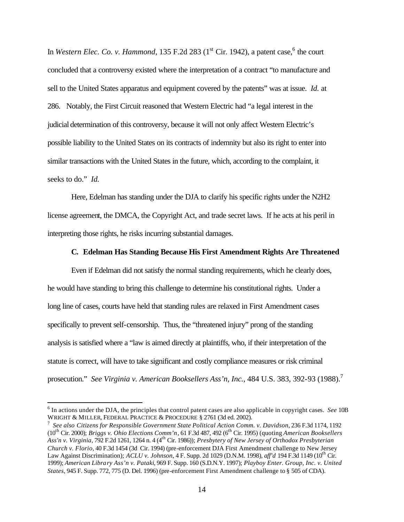In *Western Elec. Co. v. Hammond*, 135 F.2d 283 (1<sup>st</sup> Cir. 1942), a patent case,  $6$  the court concluded that a controversy existed where the interpretation of a contract "to manufacture and sell to the United States apparatus and equipment covered by the patents" was at issue. *Id.* at 286. Notably, the First Circuit reasoned that Western Electric had "a legal interest in the judicial determination of this controversy, because it will not only affect Western Electric's possible liability to the United States on its contracts of indemnity but also its right to enter into similar transactions with the United States in the future, which, according to the complaint, it seeks to do." *Id.*

Here, Edelman has standing under the DJA to clarify his specific rights under the N2H2 license agreement, the DMCA, the Copyright Act, and trade secret laws. If he acts at his peril in interpreting those rights, he risks incurring substantial damages.

### **C. Edelman Has Standing Because His First Amendment Rights Are Threatened**

Even if Edelman did not satisfy the normal standing requirements, which he clearly does, he would have standing to bring this challenge to determine his constitutional rights. Under a long line of cases, courts have held that standing rules are relaxed in First Amendment cases specifically to prevent self-censorship. Thus, the "threatened injury" prong of the standing analysis is satisfied where a "law is aimed directly at plaintiffs, who, if their interpretation of the statute is correct, will have to take significant and costly compliance measures or risk criminal prosecution." *See Virginia v. American Booksellers Ass'n, Inc.*, 484 U.S. 383, 392-93 (1988). 7

<sup>6</sup> In actions under the DJA, the principles that control patent cases are also applicable in copyright cases. *See* 10B WRIGHT & MILLER, FEDERAL PRACTICE & PROCEDURE § 2761 (3d ed. 2002).

<sup>7</sup> *See also Citizens for Responsible Government State Political Action Comm. v. Davidson*, 236 F.3d 1174, 1192 (10th Cir. 2000); *Briggs v. Ohio Elections Comm'n*, 61 F.3d 487, 492 (6th Cir. 1995) (quoting *American Booksellers Ass'n v. Virginia*, 792 F.2d 1261, 1264 n. 4 (4th Cir. 1986)); *Presbytery of New Jersey of Orthodox Presbyterian Church v. Florio*, 40 F.3d 1454 (3d Cir. 1994) (pre-enforcement DJA First Amendment challenge to New Jersey Law Against Discrimination); *ACLU v. Johnson*, 4 F. Supp. 2d 1029 (D.N.M. 1998), *aff'd* 194 F.3d 1149 (10th Cir. 1999); *American Library Ass'n v. Pataki*, 969 F. Supp. 160 (S.D.N.Y. 1997); *Playboy Enter. Group, Inc. v. United States*, 945 F. Supp. 772, 775 (D. Del. 1996) (pre-enforcement First Amendment challenge to § 505 of CDA).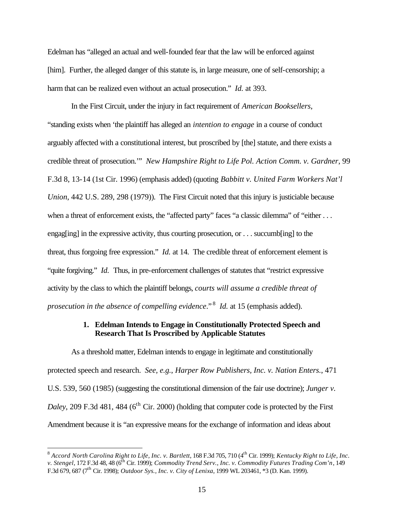Edelman has "alleged an actual and well-founded fear that the law will be enforced against [him]. Further, the alleged danger of this statute is, in large measure, one of self-censorship; a harm that can be realized even without an actual prosecution." *Id.* at 393.

In the First Circuit, under the injury in fact requirement of *American Booksellers*, "standing exists when 'the plaintiff has alleged an *intention to engage* in a course of conduct arguably affected with a constitutional interest, but proscribed by [the] statute, and there exists a credible threat of prosecution.'" *New Hampshire Right to Life Pol. Action Comm. v. Gardner*, 99 F.3d 8, 13-14 (1st Cir. 1996) (emphasis added) (quoting *Babbitt v. United Farm Workers Nat'l Union*, 442 U.S. 289, 298 (1979)). The First Circuit noted that this injury is justiciable because when a threat of enforcement exists, the "affected party" faces "a classic dilemma" of "either . . . engag[ing] in the expressive activity, thus courting prosecution, or . . . succumb[ing] to the threat, thus forgoing free expression." *Id.* at 14. The credible threat of enforcement element is "quite forgiving." *Id.* Thus, in pre-enforcement challenges of statutes that "restrict expressive activity by the class to which the plaintiff belongs, *courts will assume a credible threat of*  prosecution in the absence of compelling evidence."<sup>8</sup> Id. at 15 (emphasis added).

## **1. Edelman Intends to Engage in Constitutionally Protected Speech and Research That Is Proscribed by Applicable Statutes**

As a threshold matter, Edelman intends to engage in legitimate and constitutionally protected speech and research. *See, e.g.*, *Harper Row Publishers, Inc. v. Nation Enters.*, 471 U.S. 539, 560 (1985) (suggesting the constitutional dimension of the fair use doctrine); *Junger v. Daley*, 209 F.3d 481, 484 ( $6<sup>th</sup>$  Cir. 2000) (holding that computer code is protected by the First Amendment because it is "an expressive means for the exchange of information and ideas about

 8 *Accord North Carolina Right to Life, Inc. v. Bartlett*, 168 F.3d 705, 710 (4th Cir. 1999); *Kentucky Right to Life, Inc. v. Stengel, 172 F.3d 48, 48 (6<sup>th</sup> Cir. 1999); <i>Commodity Trend Serv., Inc. v. Commodity Futures Trading Com'n, 149* F.3d 679, 687 (7th Cir. 1998); *Outdoor Sys., Inc. v. City of Lenixa*, 1999 WL 203461, \*3 (D. Kan. 1999).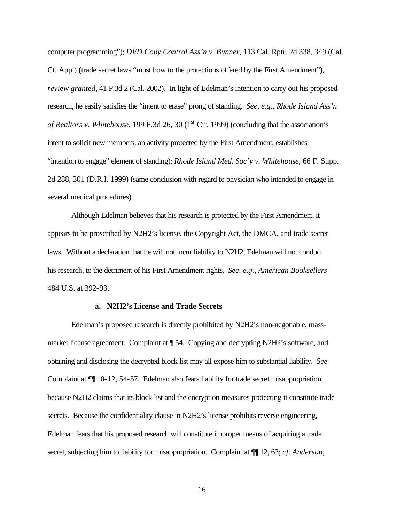computer programming"); *DVD Copy Control Ass'n v. Bunner*, 113 Cal. Rptr. 2d 338, 349 (Cal. Ct. App.) (trade secret laws "must bow to the protections offered by the First Amendment"), *review granted*, 41 P.3d 2 (Cal. 2002). In light of Edelman's intention to carry out his proposed research, he easily satisfies the "intent to erase" prong of standing. *See, e.g.*, *Rhode Island Ass'n of Realtors v. Whitehouse*, 199 F.3d 26, 30 (1<sup>st</sup> Cir. 1999) (concluding that the association's intent to solicit new members, an activity protected by the First Amendment, establishes "intention to engage" element of standing); *Rhode Island Med. Soc'y v. Whitehouse*, 66 F. Supp. 2d 288, 301 (D.R.I. 1999) (same conclusion with regard to physician who intended to engage in several medical procedures).

Although Edelman believes that his research is protected by the First Amendment, it appears to be proscribed by N2H2's license, the Copyright Act, the DMCA, and trade secret laws. Without a declaration that he will not incur liability to N2H2, Edelman will not conduct his research, to the detriment of his First Amendment rights. *See, e.g.*, *American Booksellers*  484 U.S. at 392-93.

#### **a. N2H2's License and Trade Secrets**

Edelman's proposed research is directly prohibited by N2H2's non-negotiable, massmarket license agreement. Complaint at ¶ 54. Copying and decrypting N2H2's software, and obtaining and disclosing the decrypted block list may all expose him to substantial liability. *See* Complaint at ¶¶ 10-12, 54-57. Edelman also fears liability for trade secret misappropriation because N2H2 claims that its block list and the encryption measures protecting it constitute trade secrets. Because the confidentiality clause in N2H2's license prohibits reverse engineering, Edelman fears that his proposed research will constitute improper means of acquiring a trade secret, subjecting him to liability for misappropriation. Complaint at ¶¶ 12, 63; *cf. Anderson*,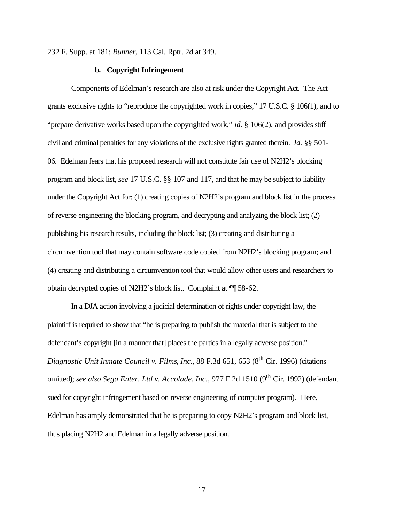232 F. Supp. at 181; *Bunner*, 113 Cal. Rptr. 2d at 349.

### **b. Copyright Infringement**

Components of Edelman's research are also at risk under the Copyright Act. The Act grants exclusive rights to "reproduce the copyrighted work in copies," 17 U.S.C. § 106(1), and to "prepare derivative works based upon the copyrighted work," *id.* § 106(2), and provides stiff civil and criminal penalties for any violations of the exclusive rights granted therein. *Id.* §§ 501- 06. Edelman fears that his proposed research will not constitute fair use of N2H2's blocking program and block list, *see* 17 U.S.C. §§ 107 and 117, and that he may be subject to liability under the Copyright Act for: (1) creating copies of N2H2's program and block list in the process of reverse engineering the blocking program, and decrypting and analyzing the block list; (2) publishing his research results, including the block list; (3) creating and distributing a circumvention tool that may contain software code copied from N2H2's blocking program; and (4) creating and distributing a circumvention tool that would allow other users and researchers to obtain decrypted copies of N2H2's block list. Complaint at ¶¶ 58-62.

In a DJA action involving a judicial determination of rights under copyright law, the plaintiff is required to show that "he is preparing to publish the material that is subject to the defendant's copyright [in a manner that] places the parties in a legally adverse position." *Diagnostic Unit Inmate Council v. Films, Inc., 88 F.3d 651, 653 (8<sup>th</sup> Cir. 1996) (citations* omitted); *see also Sega Enter. Ltd v. Accolade, Inc.*, 977 F.2d 1510 (9<sup>th</sup> Cir. 1992) (defendant sued for copyright infringement based on reverse engineering of computer program). Here, Edelman has amply demonstrated that he is preparing to copy N2H2's program and block list, thus placing N2H2 and Edelman in a legally adverse position.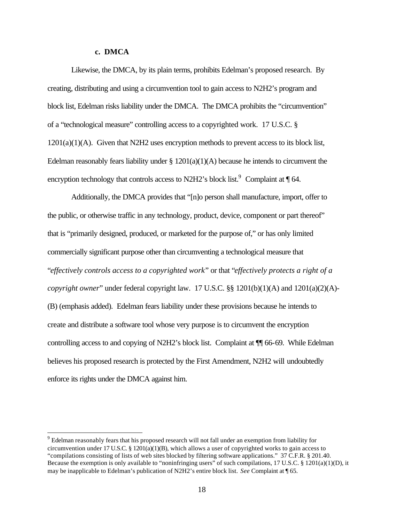### **c. DMCA**

 $\overline{a}$ 

Likewise, the DMCA, by its plain terms, prohibits Edelman's proposed research. By creating, distributing and using a circumvention tool to gain access to N2H2's program and block list, Edelman risks liability under the DMCA. The DMCA prohibits the "circumvention" of a "technological measure" controlling access to a copyrighted work. 17 U.S.C. §  $1201(a)(1)(A)$ . Given that N2H2 uses encryption methods to prevent access to its block list, Edelman reasonably fears liability under  $\S 1201(a)(1)(A)$  because he intends to circumvent the encryption technology that controls access to N2H2's block list.<sup>9</sup> Complaint at  $\P$  64.

Additionally, the DMCA provides that "[n]o person shall manufacture, import, offer to the public, or otherwise traffic in any technology, product, device, component or part thereof" that is "primarily designed, produced, or marketed for the purpose of," or has only limited commercially significant purpose other than circumventing a technological measure that "*effectively controls access to a copyrighted work*" or that "*effectively protects a right of a copyright owner*" under federal copyright law. 17 U.S.C. §§ 1201(b)(1)(A) and 1201(a)(2)(A)- (B) (emphasis added). Edelman fears liability under these provisions because he intends to create and distribute a software tool whose very purpose is to circumvent the encryption controlling access to and copying of N2H2's block list. Complaint at ¶¶ 66-69. While Edelman believes his proposed research is protected by the First Amendment, N2H2 will undoubtedly enforce its rights under the DMCA against him.

<sup>&</sup>lt;sup>9</sup> Edelman reasonably fears that his proposed research will not fall under an exemption from liability for circumvention under 17 U.S.C. § 1201(a)(1)(B), which allows a user of copyrighted works to gain access to "compilations consisting of lists of web sites blocked by filtering software applications." 37 C.F.R. § 201.40. Because the exemption is only available to "noninfringing users" of such compilations, 17 U.S.C. § 1201(a)(1)(D), it may be inapplicable to Edelman's publication of N2H2's entire block list. *See* Complaint at ¶ 65.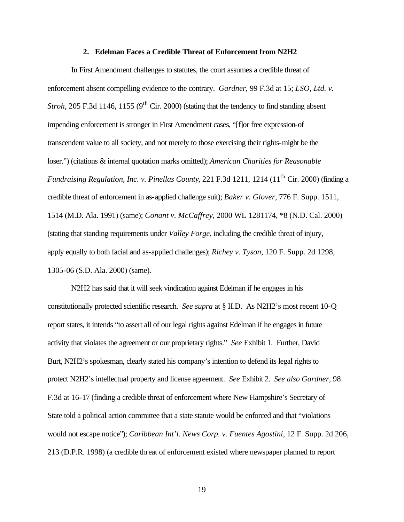#### **2. Edelman Faces a Credible Threat of Enforcement from N2H2**

In First Amendment challenges to statutes, the court assumes a credible threat of enforcement absent compelling evidence to the contrary. *Gardner*, 99 F.3d at 15; *LSO, Ltd. v. Stroh*, 205 F.3d 1146, 1155 (9<sup>th</sup> Cir. 2000) (stating that the tendency to find standing absent impending enforcement is stronger in First Amendment cases, "[f]or free expression-of transcendent value to all society, and not merely to those exercising their rights-might be the loser.") (citations & internal quotation marks omitted); *American Charities for Reasonable Fundraising Regulation, Inc. v. Pinellas County,* 221 F.3d 1211, 1214 (11<sup>th</sup> Cir. 2000) (finding a credible threat of enforcement in as-applied challenge suit); *Baker v. Glover*, 776 F. Supp. 1511, 1514 (M.D. Ala. 1991) (same); *Conant v. McCaffrey*, 2000 WL 1281174, \*8 (N.D. Cal. 2000) (stating that standing requirements under *Valley Forge*, including the credible threat of injury, apply equally to both facial and as-applied challenges); *Richey v. Tyson*, 120 F. Supp. 2d 1298, 1305-06 (S.D. Ala. 2000) (same).

N2H2 has said that it will seek vindication against Edelman if he engages in his constitutionally protected scientific research. *See supra* at § II.D. As N2H2's most recent 10-Q report states, it intends "to assert all of our legal rights against Edelman if he engages in future activity that violates the agreement or our proprietary rights." *See* Exhibit 1. Further, David Burt, N2H2's spokesman, clearly stated his company's intention to defend its legal rights to protect N2H2's intellectual property and license agreement. *See* Exhibit 2. *See also Gardner*, 98 F.3d at 16-17 (finding a credible threat of enforcement where New Hampshire's Secretary of State told a political action committee that a state statute would be enforced and that "violations would not escape notice"); *Caribbean Int'l. News Corp. v. Fuentes Agostini*, 12 F. Supp. 2d 206, 213 (D.P.R. 1998) (a credible threat of enforcement existed where newspaper planned to report